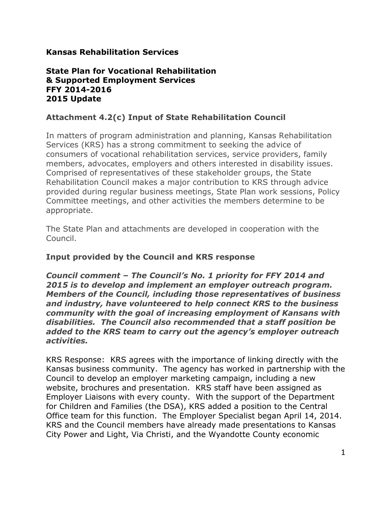# **Kansas Rehabilitation Services**

### **State Plan for Vocational Rehabilitation & Supported Employment Services FFY 2014-2016 2015 Update**

# **Attachment 4.2(c) Input of State Rehabilitation Council**

In matters of program administration and planning, Kansas Rehabilitation Services (KRS) has a strong commitment to seeking the advice of consumers of vocational rehabilitation services, service providers, family members, advocates, employers and others interested in disability issues. Comprised of representatives of these stakeholder groups, the State Rehabilitation Council makes a major contribution to KRS through advice provided during regular business meetings, State Plan work sessions, Policy Committee meetings, and other activities the members determine to be appropriate.

The State Plan and attachments are developed in cooperation with the Council.

### **Input provided by the Council and KRS response**

*Council comment – The Council's No. 1 priority for FFY 2014 and 2015 is to develop and implement an employer outreach program. Members of the Council, including those representatives of business and industry, have volunteered to help connect KRS to the business community with the goal of increasing employment of Kansans with disabilities. The Council also recommended that a staff position be added to the KRS team to carry out the agency's employer outreach activities.*

KRS Response: KRS agrees with the importance of linking directly with the Kansas business community. The agency has worked in partnership with the Council to develop an employer marketing campaign, including a new website, brochures and presentation. KRS staff have been assigned as Employer Liaisons with every county. With the support of the Department for Children and Families (the DSA), KRS added a position to the Central Office team for this function. The Employer Specialist began April 14, 2014. KRS and the Council members have already made presentations to Kansas City Power and Light, Via Christi, and the Wyandotte County economic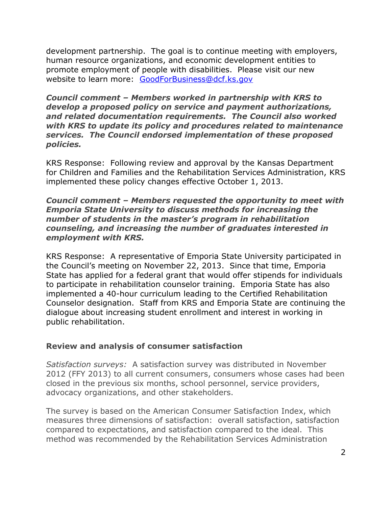development partnership. The goal is to continue meeting with employers, human resource organizations, and economic development entities to promote employment of people with disabilities. Please visit our new website to learn more: [GoodForBusiness@dcf.ks.gov](mailto:GoodForBusiness@dcf.ks.gov)

*Council comment – Members worked in partnership with KRS to develop a proposed policy on service and payment authorizations, and related documentation requirements. The Council also worked with KRS to update its policy and procedures related to maintenance services. The Council endorsed implementation of these proposed policies.*

KRS Response: Following review and approval by the Kansas Department for Children and Families and the Rehabilitation Services Administration, KRS implemented these policy changes effective October 1, 2013.

*Council comment – Members requested the opportunity to meet with Emporia State University to discuss methods for increasing the number of students in the master's program in rehabilitation counseling, and increasing the number of graduates interested in employment with KRS.*

KRS Response: A representative of Emporia State University participated in the Council's meeting on November 22, 2013. Since that time, Emporia State has applied for a federal grant that would offer stipends for individuals to participate in rehabilitation counselor training. Emporia State has also implemented a 40-hour curriculum leading to the Certified Rehabilitation Counselor designation. Staff from KRS and Emporia State are continuing the dialogue about increasing student enrollment and interest in working in public rehabilitation.

# **Review and analysis of consumer satisfaction**

*Satisfaction surveys:* A satisfaction survey was distributed in November 2012 (FFY 2013) to all current consumers, consumers whose cases had been closed in the previous six months, school personnel, service providers, advocacy organizations, and other stakeholders.

The survey is based on the American Consumer Satisfaction Index, which measures three dimensions of satisfaction: overall satisfaction, satisfaction compared to expectations, and satisfaction compared to the ideal. This method was recommended by the Rehabilitation Services Administration